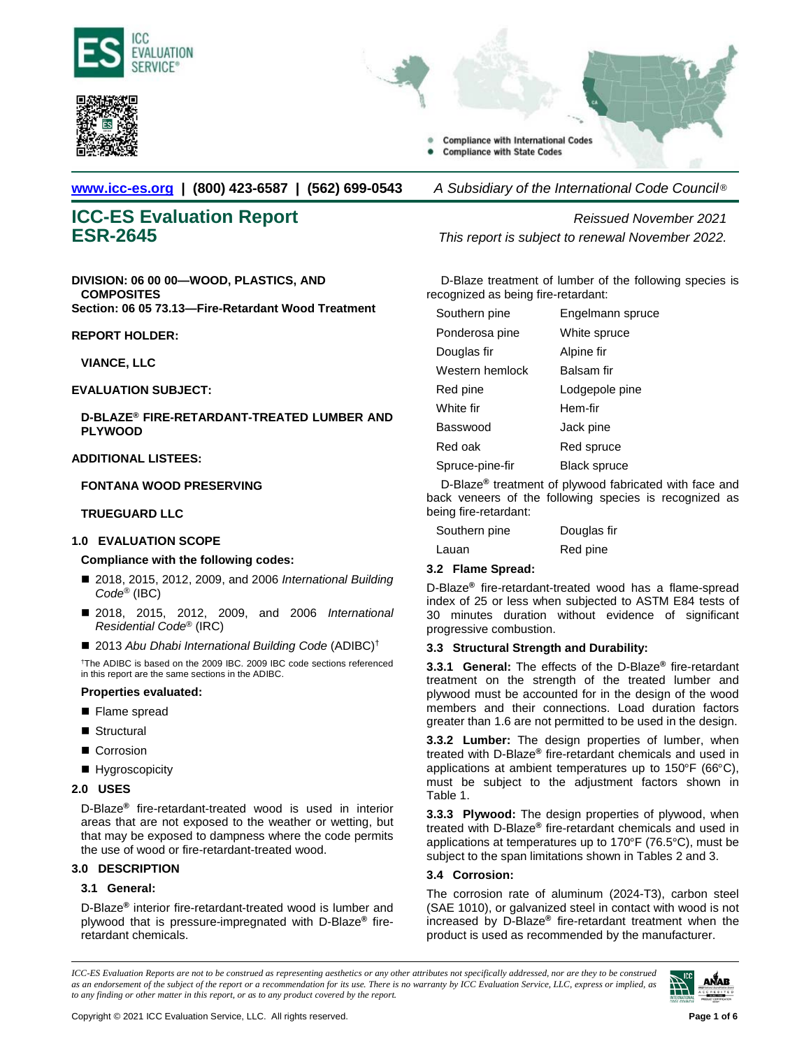



- **Compliance with International Codes Compliance with State Codes**
- **[www.icc-es.org](http://www.icc-es.org/) | (800) 423-6587 | (562) 699-0543** *A Subsidiary of the International Code Council* ®

**DIVISION: 06 00 00—WOOD, PLASTICS, AND COMPOSITES Section: 06 05 73.13—Fire-Retardant Wood Treatment**

**REPORT HOLDER:**

# **VIANCE, LLC**

# **EVALUATION SUBJECT:**

**D-BLAZE® FIRE-RETARDANT-TREATED LUMBER AND PLYWOOD**

# **ADDITIONAL LISTEES:**

#### **FONTANA WOOD PRESERVING**

# **TRUEGUARD LLC**

# **1.0 EVALUATION SCOPE**

# **Compliance with the following codes:**

- 2018, 2015, 2012, 2009, and 2006 *International Building Code*® (IBC)
- 2018, 2015, 2012, 2009, and 2006 *International Residential Code*® (IRC)
- 2013 Abu Dhabi International Building Code (ADIBC)<sup>†</sup>

† The ADIBC is based on the 2009 IBC. 2009 IBC code sections referenced in this report are the same sections in the ADIBC.

# **Properties evaluated:**

- Flame spread
- Structural
- Corrosion
- **Hygroscopicity**

#### **2.0 USES**

D-Blaze**®** fire-retardant-treated wood is used in interior areas that are not exposed to the weather or wetting, but that may be exposed to dampness where the code permits the use of wood or fire-retardant-treated wood.

# **3.0 DESCRIPTION**

# **3.1 General:**

D-Blaze**®** interior fire-retardant-treated wood is lumber and plywood that is pressure-impregnated with D-Blaze**®** fireretardant chemicals.

**ICC-ES Evaluation Report** *Reissued November 2021* **ESR-2645** *This report is subject to renewal November 2022.*

> D-Blaze treatment of lumber of the following species is recognized as being fire-retardant:

| Southern pine   | Engelmann spruce    |
|-----------------|---------------------|
| Ponderosa pine  | White spruce        |
| Douglas fir     | Alpine fir          |
| Western hemlock | Balsam fir          |
| Red pine        | Lodgepole pine      |
| White fir       | Hem-fir             |
| Basswood        | Jack pine           |
| Red oak         | Red spruce          |
| Spruce-pine-fir | <b>Black spruce</b> |

D-Blaze**®** treatment of plywood fabricated with face and back veneers of the following species is recognized as being fire-retardant:

| Southern pine | Douglas fir |
|---------------|-------------|
| Lauan         | Red pine    |

# **3.2 Flame Spread:**

D-Blaze**®** fire-retardant-treated wood has a flame-spread index of 25 or less when subjected to ASTM E84 tests of 30 minutes duration without evidence of significant progressive combustion.

# **3.3 Structural Strength and Durability:**

**3.3.1 General:** The effects of the D-Blaze**®** fire-retardant treatment on the strength of the treated lumber and plywood must be accounted for in the design of the wood members and their connections. Load duration factors greater than 1.6 are not permitted to be used in the design.

**3.3.2 Lumber:** The design properties of lumber, when treated with D-Blaze**®** fire-retardant chemicals and used in applications at ambient temperatures up to 150°F (66°C), must be subject to the adjustment factors shown in Table 1.

**3.3.3 Plywood:** The design properties of plywood, when treated with D-Blaze**®** fire-retardant chemicals and used in applications at temperatures up to 170°F (76.5°C), must be subject to the span limitations shown in Tables 2 and 3.

# **3.4 Corrosion:**

The corrosion rate of aluminum (2024-T3), carbon steel (SAE 1010), or galvanized steel in contact with wood is not increased by D-Blaze**®** fire-retardant treatment when the product is used as recommended by the manufacturer.

*ICC-ES Evaluation Reports are not to be construed as representing aesthetics or any other attributes not specifically addressed, nor are they to be construed as an endorsement of the subject of the report or a recommendation for its use. There is no warranty by ICC Evaluation Service, LLC, express or implied, as to any finding or other matter in this report, or as to any product covered by the report.*

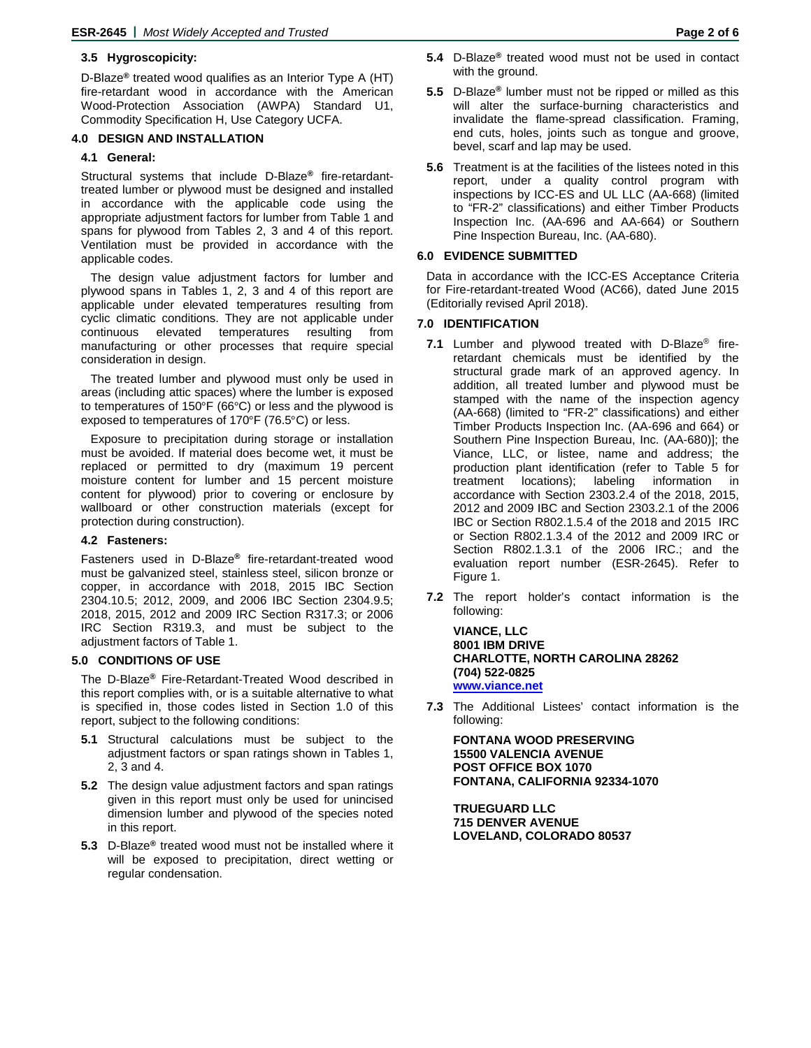# **3.5 Hygroscopicity:**

D-Blaze**®** treated wood qualifies as an Interior Type A (HT) fire-retardant wood in accordance with the American Wood-Protection Association (AWPA) Standard U1, Commodity Specification H, Use Category UCFA.

# **4.0 DESIGN AND INSTALLATION**

#### **4.1 General:**

Structural systems that include D-Blaze**®** fire-retardanttreated lumber or plywood must be designed and installed in accordance with the applicable code using the appropriate adjustment factors for lumber from Table 1 and spans for plywood from Tables 2, 3 and 4 of this report. Ventilation must be provided in accordance with the applicable codes.

The design value adjustment factors for lumber and plywood spans in Tables 1, 2, 3 and 4 of this report are applicable under elevated temperatures resulting from cyclic climatic conditions. They are not applicable under continuous elevated temperatures resulting from manufacturing or other processes that require special consideration in design.

The treated lumber and plywood must only be used in areas (including attic spaces) where the lumber is exposed to temperatures of 150°F (66°C) or less and the plywood is exposed to temperatures of 170°F (76.5°C) or less.

Exposure to precipitation during storage or installation must be avoided. If material does become wet, it must be replaced or permitted to dry (maximum 19 percent moisture content for lumber and 15 percent moisture content for plywood) prior to covering or enclosure by wallboard or other construction materials (except for protection during construction).

#### **4.2 Fasteners:**

Fasteners used in D-Blaze**®** fire-retardant-treated wood must be galvanized steel, stainless steel, silicon bronze or copper, in accordance with 2018, 2015 IBC Section 2304.10.5; 2012, 2009, and 2006 IBC Section 2304.9.5; 2018, 2015, 2012 and 2009 IRC Section R317.3; or 2006 IRC Section R319.3, and must be subject to the adjustment factors of Table 1.

# **5.0 CONDITIONS OF USE**

The D-Blaze**®** Fire-Retardant-Treated Wood described in this report complies with, or is a suitable alternative to what is specified in, those codes listed in Section 1.0 of this report, subject to the following conditions:

- **5.1** Structural calculations must be subject to the adjustment factors or span ratings shown in Tables 1, 2, 3 and 4.
- **5.2** The design value adjustment factors and span ratings given in this report must only be used for unincised dimension lumber and plywood of the species noted in this report.
- **5.3** D-Blaze**®** treated wood must not be installed where it will be exposed to precipitation, direct wetting or regular condensation.
- **5.4** D-Blaze**®** treated wood must not be used in contact with the ground.
- **5.5** D-Blaze**®** lumber must not be ripped or milled as this will alter the surface-burning characteristics and invalidate the flame-spread classification. Framing, end cuts, holes, joints such as tongue and groove, bevel, scarf and lap may be used.
- **5.6** Treatment is at the facilities of the listees noted in this report, under a quality control program with inspections by ICC-ES and UL LLC (AA-668) (limited to "FR-2" classifications) and either Timber Products Inspection Inc. (AA-696 and AA-664) or Southern Pine Inspection Bureau, Inc. (AA-680).

#### **6.0 EVIDENCE SUBMITTED**

Data in accordance with the ICC-ES Acceptance Criteria for Fire-retardant-treated Wood (AC66), dated June 2015 (Editorially revised April 2018).

#### **7.0 IDENTIFICATION**

- **7.1** Lumber and plywood treated with D-Blaze® fireretardant chemicals must be identified by the structural grade mark of an approved agency. In addition, all treated lumber and plywood must be stamped with the name of the inspection agency (AA-668) (limited to "FR-2" classifications) and either Timber Products Inspection Inc. (AA-696 and 664) or Southern Pine Inspection Bureau, Inc. (AA-680)]; the Viance, LLC, or listee, name and address; the production plant identification (refer to Table 5 for treatment locations); labeling information in accordance with Section 2303.2.4 of the 2018, 2015, 2012 and 2009 IBC and Section 2303.2.1 of the 2006 IBC or Section R802.1.5.4 of the 2018 and 2015 IRC or Section R802.1.3.4 of the 2012 and 2009 IRC or Section R802.1.3.1 of the 2006 IRC.; and the evaluation report number (ESR-2645). Refer to Figure 1.
- **7.2** The report holder's contact information is the following:

**VIANCE, LLC 8001 IBM DRIVE CHARLOTTE, NORTH CAROLINA 28262 (704) 522-0825 [www.viance.net](http://www.viance.net/)**

**7.3** The Additional Listees' contact information is the following:

**FONTANA WOOD PRESERVING 15500 VALENCIA AVENUE POST OFFICE BOX 1070 FONTANA, CALIFORNIA 92334-1070**

**TRUEGUARD LLC 715 DENVER AVENUE LOVELAND, COLORADO 80537**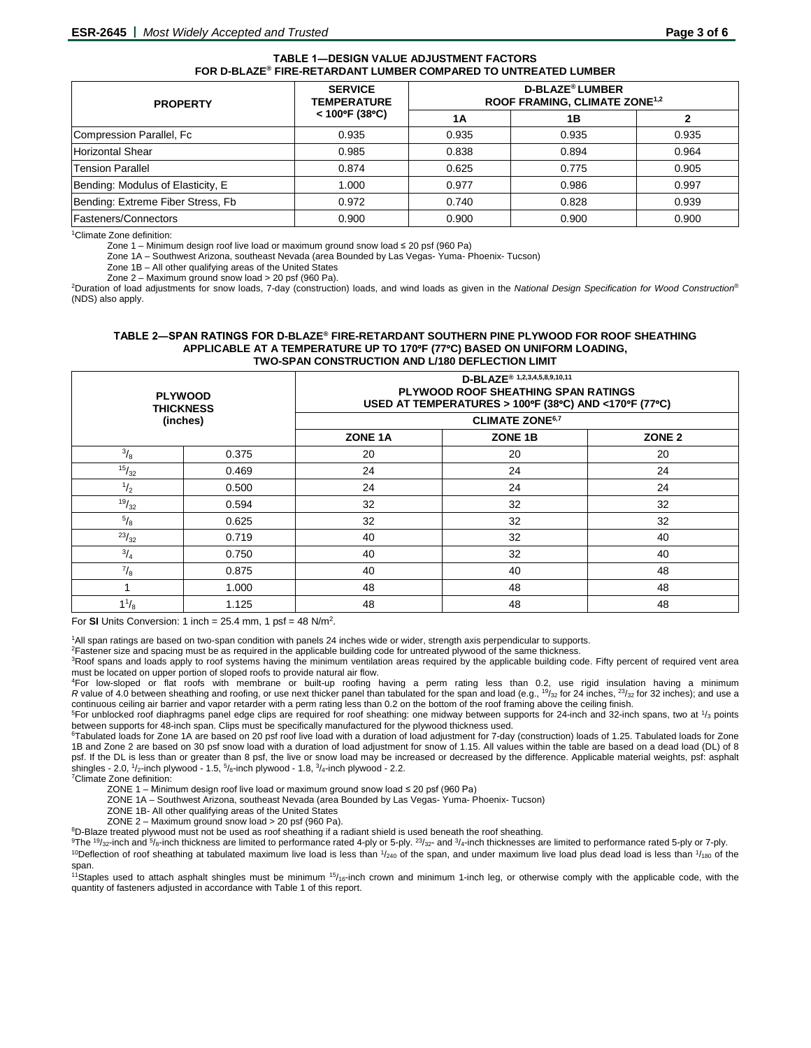#### **TABLE 1―DESIGN VALUE ADJUSTMENT FACTORS FOR D-BLAZE® FIRE-RETARDANT LUMBER COMPARED TO UNTREATED LUMBER**

| <b>PROPERTY</b>                   | <b>SERVICE</b><br><b>TEMPERATURE</b><br>$< 100^{\circ}$ F (38°C) | <b>D-BLAZE<sup>®</sup> LUMBER</b><br>ROOF FRAMING, CLIMATE ZONE <sup>1,2</sup> |       |       |
|-----------------------------------|------------------------------------------------------------------|--------------------------------------------------------------------------------|-------|-------|
|                                   |                                                                  | 1Α                                                                             | 1Β    |       |
| Compression Parallel, Fc          | 0.935                                                            | 0.935                                                                          | 0.935 | 0.935 |
| <b>Horizontal Shear</b>           | 0.985                                                            | 0.838                                                                          | 0.894 | 0.964 |
| <b>Tension Parallel</b>           | 0.874                                                            | 0.625                                                                          | 0.775 | 0.905 |
| Bending: Modulus of Elasticity, E | 1.000                                                            | 0.977                                                                          | 0.986 | 0.997 |
| Bending: Extreme Fiber Stress, Fb | 0.972                                                            | 0.740                                                                          | 0.828 | 0.939 |
| Fasteners/Connectors              | 0.900                                                            | 0.900                                                                          | 0.900 | 0.900 |

<sup>1</sup>Climate Zone definition:

Zone 1 – Minimum design roof live load or maximum ground snow load ≤ 20 psf (960 Pa)

Zone 1A – Southwest Arizona, southeast Nevada (area Bounded by Las Vegas- Yuma- Phoenix- Tucson)

Zone 1B – All other qualifying areas of the United States

Zone 2 – Maximum ground snow load > 20 psf (960 Pa). 2 Duration of load adjustments for snow loads, 7-day (construction) loads, and wind loads as given in the *National Design Specification for Wood Construction*® (NDS) also apply.

#### **TABLE 2―SPAN RATINGS FOR D-BLAZE® FIRE-RETARDANT SOUTHERN PINE PLYWOOD FOR ROOF SHEATHING APPLICABLE AT A TEMPERATURE UP TO 170**°**F (77**°**C) BASED ON UNIFORM LOADING, TWO-SPAN CONSTRUCTION AND L/180 DEFLECTION LIMIT**

|                | <b>PLYWOOD</b><br><b>THICKNESS</b> | D-BLAZE <sup>®</sup> 1,2,3,4,5,8,9,10,11<br>PLYWOOD ROOF SHEATHING SPAN RATINGS<br>USED AT TEMPERATURES > 100°F (38°C) AND <170°F (77°C) |                        |    |
|----------------|------------------------------------|------------------------------------------------------------------------------------------------------------------------------------------|------------------------|----|
| (inches)       |                                    |                                                                                                                                          | <b>CLIMATE ZONE6,7</b> |    |
|                |                                    | ZONE 1B<br>ZONE <sub>1A</sub><br>ZONE <sub>2</sub>                                                                                       |                        |    |
| $^{3}/_{8}$    | 0.375                              | 20                                                                                                                                       | 20                     | 20 |
| 15/32          | 0.469                              | 24                                                                                                                                       | 24                     | 24 |
| $\frac{1}{2}$  | 0.500                              | 24                                                                                                                                       | 24                     | 24 |
| 19/32          | 0.594                              | 32                                                                                                                                       | 32                     | 32 |
| $\sqrt[5]{_8}$ | 0.625                              | 32                                                                                                                                       | 32                     | 32 |
| 23/32          | 0.719                              | 40                                                                                                                                       | 32                     | 40 |
| $^{3}/_{4}$    | 0.750                              | 40                                                                                                                                       | 32                     | 40 |
| $^{7}/_8$      | 0.875                              | 40                                                                                                                                       | 40                     | 48 |
|                | 1.000                              | 48                                                                                                                                       | 48                     | 48 |
| $1\frac{1}{8}$ | 1.125                              | 48                                                                                                                                       | 48                     | 48 |

For **SI** Units Conversion: 1 inch =  $25.4$  mm, 1 psf =  $48$  N/m<sup>2</sup>.

1All span ratings are based on two-span condition with panels 24 inches wide or wider, strength axis perpendicular to supports.

<sup>2</sup>Fastener size and spacing must be as required in the applicable building code for untreated plywood of the same thickness.

<sup>3</sup>Roof spans and loads apply to roof systems having the minimum ventilation areas required by the applicable building code. Fifty percent of required vent area must be located on upper portion of sloped roofs to provide natural air flow.

4For low-sloped or flat roofs with membrane or built-up roofing having a perm rating less than 0.2, use rigid insulation having a minimum *R* value of 4.0 between sheathing and roofing, or use next thicker panel than tabulated for the span and load (e.g., <sup>19</sup>/<sub>32</sub> for 24 inches, <sup>23</sup>/<sub>32</sub> for 32 inches); and use a continuous ceiling air barrier and vapor retarder with a perm rating less than 0.2 on the bottom of the roof framing above the ceiling finish.

 $5$ For unblocked roof diaphragms panel edge clips are required for roof sheathing: one midway between supports for 24-inch and 32-inch spans, two at  $1/3$  points between supports for 48-inch span. Clips must be specifically manufactured for the plywood thickness used.

6Tabulated loads for Zone 1A are based on 20 psf roof live load with a duration of load adjustment for 7-day (construction) loads of 1.25. Tabulated loads for Zone 1B and Zone 2 are based on 30 psf snow load with a duration of load adjustment for snow of 1.15. All values within the table are based on a dead load (DL) of 8 psf. If the DL is less than or greater than 8 psf, the live or snow load may be increased or decreased by the difference. Applicable material weights, psf: asphalt shingles - 2.0,  $\frac{1}{2}$ -inch plywood - 1.5,  $\frac{5}{8}$ -inch plywood - 1.8,  $\frac{3}{4}$ -inch plywood - 2.2.

7 Climate Zone definition:

ZONE 1 – Minimum design roof live load or maximum ground snow load ≤ 20 psf (960 Pa)

ZONE 1A – Southwest Arizona, southeast Nevada (area Bounded by Las Vegas- Yuma- Phoenix- Tucson)

ZONE 1B- All other qualifying areas of the United States<br>ZONE 2 - Maximum ground snow load > 20 psf (960 Pa).

ZONE 2 – Maximum ground snow load > 20 psf (960 Pa).<br><sup>8</sup>D-Blaze treated plywood must not be used as roof sheathing if a radiant shield is used beneath the roof sheathing.<br><sup>9</sup>The <sup>19</sup>/32-inch and <sup>5</sup>/8-inch thickness are li

<sup>10</sup>Deflection of roof sheathing at tabulated maximum live load is less than  $1/240$  of the span, and under maximum live load plus dead load is less than  $1/180$  of the span.

<sup>11</sup>Staples used to attach asphalt shingles must be minimum  $15/16$ -inch crown and minimum 1-inch leg, or otherwise comply with the applicable code, with the quantity of fasteners adjusted in accordance with Table 1 of this report.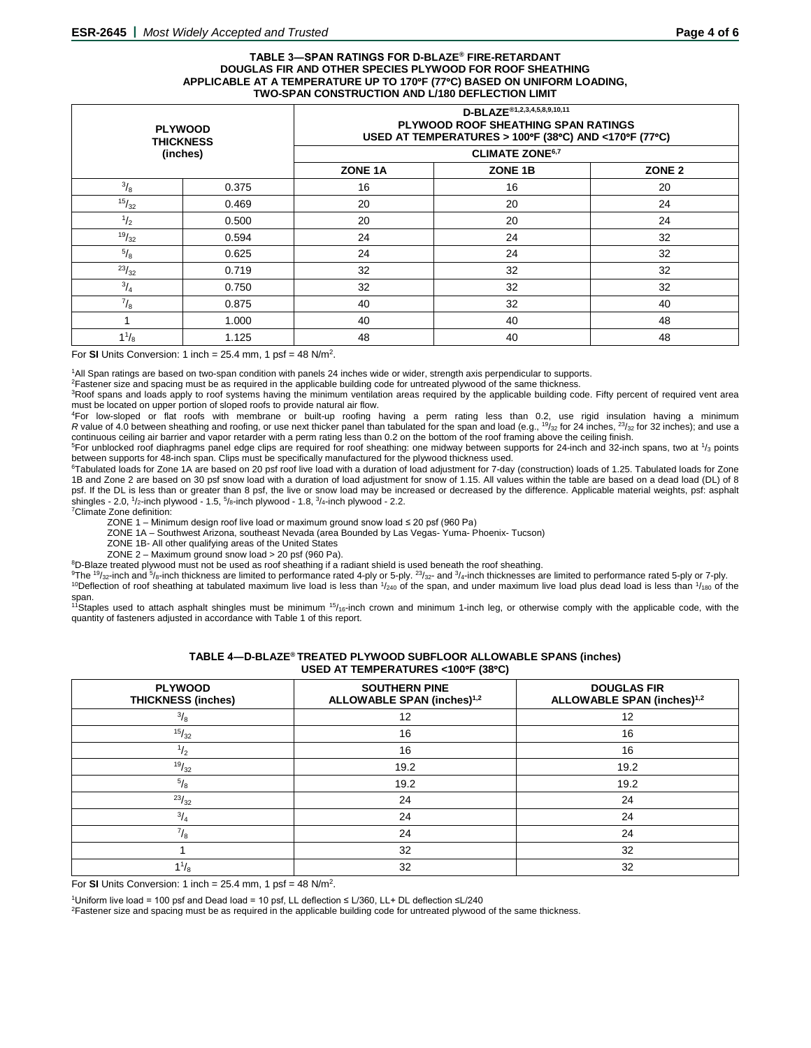#### **TABLE 3―SPAN RATINGS FOR D-BLAZE® FIRE-RETARDANT DOUGLAS FIR AND OTHER SPECIES PLYWOOD FOR ROOF SHEATHING APPLICABLE AT A TEMPERATURE UP TO 170**°**F (77**°**C) BASED ON UNIFORM LOADING, TWO-SPAN CONSTRUCTION AND L/180 DEFLECTION LIMIT**

|                | <b>PLYWOOD</b><br><b>THICKNESS</b> | D-BLAZE <sup>®1,2,3,4,5,8,9,10,11</sup><br>PLYWOOD ROOF SHEATHING SPAN RATINGS<br>USED AT TEMPERATURES > 100°F (38°C) AND <170°F (77°C) |    |    |
|----------------|------------------------------------|-----------------------------------------------------------------------------------------------------------------------------------------|----|----|
| (inches)       |                                    | <b>CLIMATE ZONE6,7</b>                                                                                                                  |    |    |
|                |                                    | ZONE 1B<br>ZONE <sub>2</sub><br>ZONE 1A                                                                                                 |    |    |
| $^{3}/_{8}$    | 0.375                              | 16                                                                                                                                      | 16 | 20 |
| 15/32          | 0.469                              | 20                                                                                                                                      | 20 | 24 |
| $\frac{1}{2}$  | 0.500                              | 20                                                                                                                                      | 20 | 24 |
| 19/32          | 0.594                              | 24                                                                                                                                      | 24 | 32 |
| $\sqrt[5]{_8}$ | 0.625                              | 24                                                                                                                                      | 24 | 32 |
| 23/32          | 0.719                              | 32                                                                                                                                      | 32 | 32 |
| $^{3}/_{4}$    | 0.750                              | 32                                                                                                                                      | 32 | 32 |
| $\frac{7}{8}$  | 0.875                              | 40                                                                                                                                      | 32 | 40 |
|                | 1.000                              | 40                                                                                                                                      | 40 | 48 |
| $1\frac{1}{8}$ | 1.125                              | 48                                                                                                                                      | 40 | 48 |

For **SI** Units Conversion: 1 inch = 25.4 mm, 1 psf = 48 N/m2.

1 All Span ratings are based on two-span condition with panels 24 inches wide or wider, strength axis perpendicular to supports.

2 Fastener size and spacing must be as required in the applicable building code for untreated plywood of the same thickness.

<sup>3</sup>Roof spans and loads apply to roof systems having the minimum ventilation areas required by the applicable building code. Fifty percent of required vent area must be located on upper portion of sloped roofs to provide natural air flow.

4For low-sloped or flat roofs with membrane or built-up roofing having a perm rating less than 0.2, use rigid insulation having a minimum *R* value of 4.0 between sheathing and roofing, or use next thicker panel than tabulated for the span and load (e.g.,  $\frac{19}{32}$  for 24 inches,  $\frac{23}{32}$  for 32 inches); and use a continuous ceiling air barrier and vapor retarder with a perm rating less than 0.2 on the bottom of the roof framing above the ceiling finish.

 $5$ For unblocked roof diaphragms panel edge clips are required for roof sheathing: one midway between supports for 24-inch and 32-inch spans, two at  $1/3$  points between supports for 48-inch span. Clips must be specifically manufactured for the plywood thickness used.

<sup>6</sup>Tabulated loads for Zone 1A are based on 20 psf roof live load with a duration of load adjustment for 7-day (construction) loads of 1.25. Tabulated loads for Zone 1B and Zone 2 are based on 30 psf snow load with a duration of load adjustment for snow of 1.15. All values within the table are based on a dead load (DL) of 8 psf. If the DL is less than or greater than 8 psf, the live or snow load may be increased or decreased by the difference. Applicable material weights, psf: asphalt<br>shingles - 2.0, 1/2-inch plywood - 1.5, <sup>5</sup>/8-inch plywood

7 Climate Zone definition:

ZONE 1 – Minimum design roof live load or maximum ground snow load ≤ 20 psf (960 Pa)

ZONE 1A – Southwest Arizona, southeast Nevada (area Bounded by Las Vegas- Yuma- Phoenix- Tucson)

ZONE 1B- All other qualifying areas of the United States

ZONE 2 – Maximum ground snow load > 20 psf (960 Pa).

8D-Blaze treated plywood must not be used as roof sheathing if a radiant shield is used beneath the roof sheathing.

<sup>9</sup>The <sup>19</sup>/<sub>32</sub>-inch and <sup>5</sup>/8-inch thickness are limited to performance rated 4-ply or 5-ply. <sup>23</sup>/<sub>32</sub>- and <sup>3</sup>/<sub>4</sub>-inch thicknesses are limited to performance rated 5-ply or 7-ply. <sup>10</sup>Deflection of roof sheathing at tabulated maximum live load is less than  $1/240$  of the span, and under maximum live load plus dead load is less than  $1/180$  of the span.

<sup>11</sup>Staples used to attach asphalt shingles must be minimum <sup>15</sup>/<sub>16</sub>-inch crown and minimum 1-inch leg, or otherwise comply with the applicable code, with the quantity of fasteners adjusted in accordance with Table 1 of this report.

| 00LD AT TEMILERATURES ST00 T (00 G)         |                                                                |                                                              |  |
|---------------------------------------------|----------------------------------------------------------------|--------------------------------------------------------------|--|
| <b>PLYWOOD</b><br><b>THICKNESS (inches)</b> | <b>SOUTHERN PINE</b><br>ALLOWABLE SPAN (inches) <sup>1,2</sup> | <b>DOUGLAS FIR</b><br>ALLOWABLE SPAN (inches) <sup>1,2</sup> |  |
| $^{3}/_{8}$                                 | 12                                                             | 12                                                           |  |
| 15/32                                       | 16                                                             | 16                                                           |  |
| $\frac{1}{2}$                               | 16                                                             | 16                                                           |  |
| 19/32                                       | 19.2                                                           | 19.2                                                         |  |
| $^{5}/_8$                                   | 19.2                                                           | 19.2                                                         |  |
| $^{23}/_{32}$                               | 24                                                             | 24                                                           |  |
| $^{3}/_{4}$                                 | 24                                                             | 24                                                           |  |
| $^{7}/_8$                                   | 24                                                             | 24                                                           |  |
|                                             | 32                                                             | 32                                                           |  |
| $1^{1}/_{8}$                                | 32                                                             | 32                                                           |  |

**TABLE 4―D-BLAZE® TREATED PLYWOOD SUBFLOOR ALLOWABLE SPANS (inches) USED AT TEMPERATURES <100**°**F (38**°**C)**

For **SI** Units Conversion: 1 inch = 25.4 mm, 1 psf = 48 N/m2.

<sup>1</sup>Uniform live load = 100 psf and Dead load = 10 psf, LL deflection ≤ L/360, LL+ DL deflection ≤L/240

<sup>2</sup>Fastener size and spacing must be as required in the applicable building code for untreated plywood of the same thickness.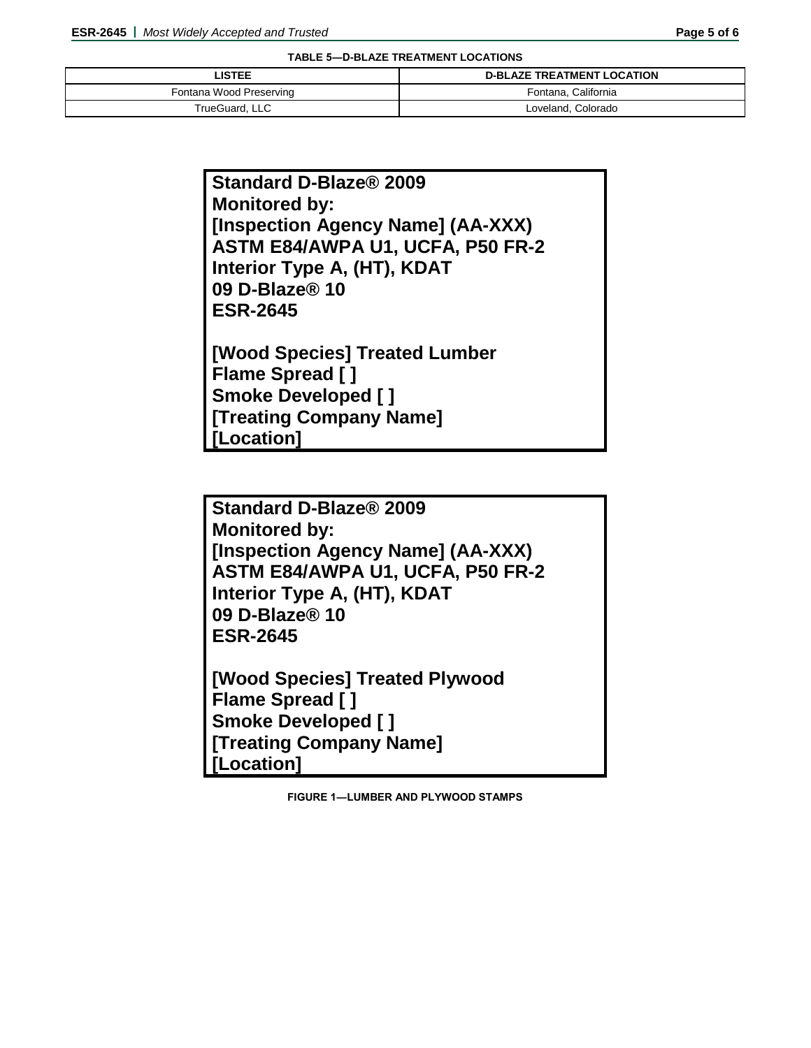**TABLE 5―D-BLAZE TREATMENT LOCATIONS**

| <b>LISTEE</b>           | <b>D-BLAZE TREATMENT LOCATION</b> |
|-------------------------|-----------------------------------|
| Fontana Wood Preserving | Fontana, California               |
| TrueGuard, LLC          | Loveland, Colorado                |

| Standard D-Blaze® 2009            |
|-----------------------------------|
| <b>Monitored by:</b>              |
| [Inspection Agency Name] (AA-XXX) |
| ASTM E84/AWPA U1, UCFA, P50 FR-2  |
| Interior Type A, (HT), KDAT       |
| 09 D-Blaze® 10                    |
| <b>ESR-2645</b>                   |
| [Wood Species] Treated Lumber     |
| <b>Flame Spread []</b>            |
|                                   |
| <b>Smoke Developed []</b>         |
| <b>[Treating Company Name]</b>    |
| [Location]                        |

**Standard D-Blaze® 2009 Monitored by: [Inspection Agency Name] (AA-XXX) ASTM E84/AWPA U1, UCFA, P50 FR-2 Interior Type A, (HT), KDAT 09 D-Blaze® 10 ESR-2645**

**[Wood Species] Treated Plywood Flame Spread [ ] Smoke Developed [ ] [Treating Company Name] [Location]**

**FIGURE 1―LUMBER AND PLYWOOD STAMPS**